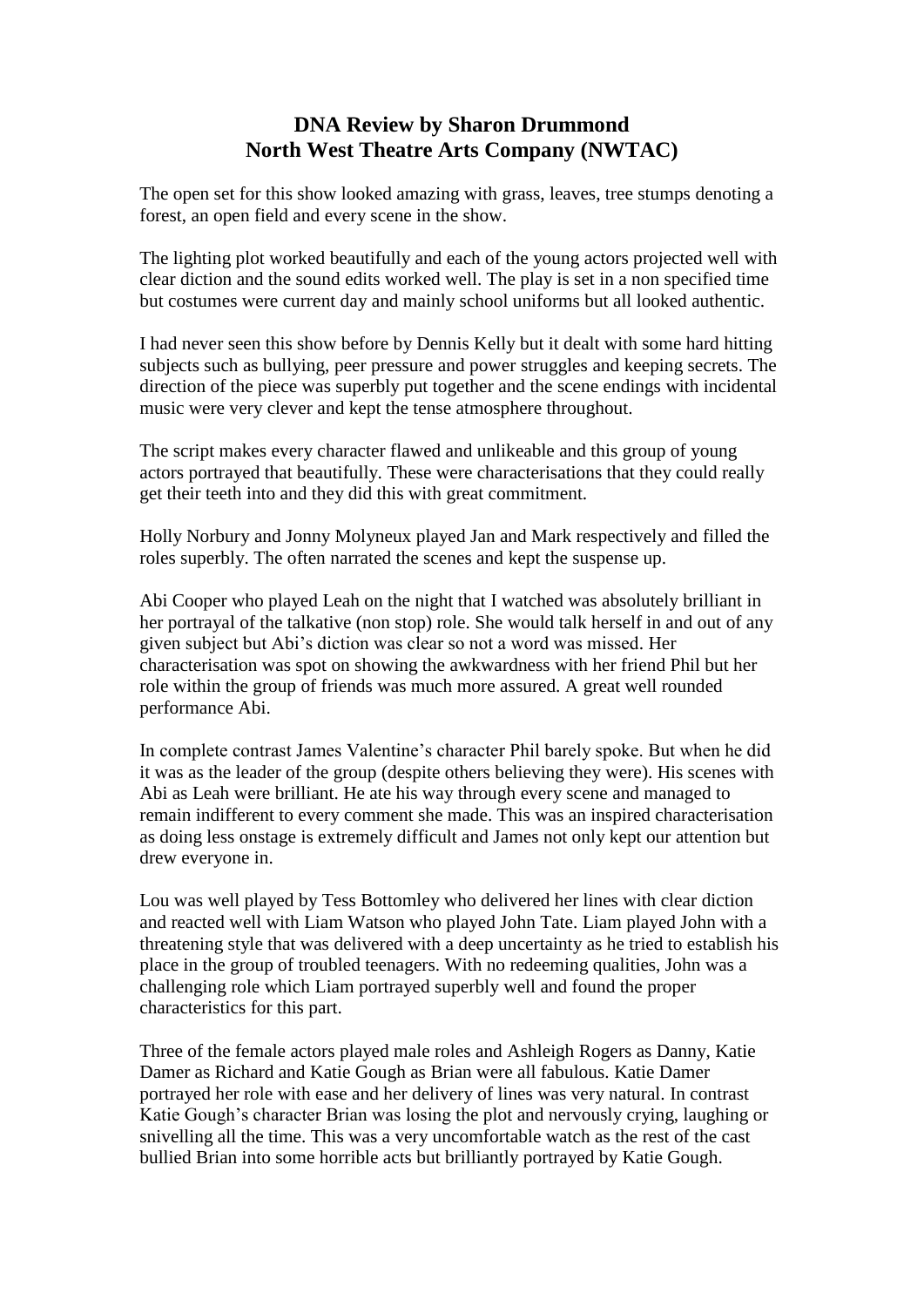## **DNA Review by Sharon Drummond North West Theatre Arts Company (NWTAC)**

The open set for this show looked amazing with grass, leaves, tree stumps denoting a forest, an open field and every scene in the show.

The lighting plot worked beautifully and each of the young actors projected well with clear diction and the sound edits worked well. The play is set in a non specified time but costumes were current day and mainly school uniforms but all looked authentic.

I had never seen this show before by Dennis Kelly but it dealt with some hard hitting subjects such as bullying, peer pressure and power struggles and keeping secrets. The direction of the piece was superbly put together and the scene endings with incidental music were very clever and kept the tense atmosphere throughout.

The script makes every character flawed and unlikeable and this group of young actors portrayed that beautifully. These were characterisations that they could really get their teeth into and they did this with great commitment.

Holly Norbury and Jonny Molyneux played Jan and Mark respectively and filled the roles superbly. The often narrated the scenes and kept the suspense up.

Abi Cooper who played Leah on the night that I watched was absolutely brilliant in her portrayal of the talkative (non stop) role. She would talk herself in and out of any given subject but Abi's diction was clear so not a word was missed. Her characterisation was spot on showing the awkwardness with her friend Phil but her role within the group of friends was much more assured. A great well rounded performance Abi.

In complete contrast James Valentine's character Phil barely spoke. But when he did it was as the leader of the group (despite others believing they were). His scenes with Abi as Leah were brilliant. He ate his way through every scene and managed to remain indifferent to every comment she made. This was an inspired characterisation as doing less onstage is extremely difficult and James not only kept our attention but drew everyone in.

Lou was well played by Tess Bottomley who delivered her lines with clear diction and reacted well with Liam Watson who played John Tate. Liam played John with a threatening style that was delivered with a deep uncertainty as he tried to establish his place in the group of troubled teenagers. With no redeeming qualities, John was a challenging role which Liam portrayed superbly well and found the proper characteristics for this part.

Three of the female actors played male roles and Ashleigh Rogers as Danny, Katie Damer as Richard and Katie Gough as Brian were all fabulous. Katie Damer portrayed her role with ease and her delivery of lines was very natural. In contrast Katie Gough's character Brian was losing the plot and nervously crying, laughing or snivelling all the time. This was a very uncomfortable watch as the rest of the cast bullied Brian into some horrible acts but brilliantly portrayed by Katie Gough.